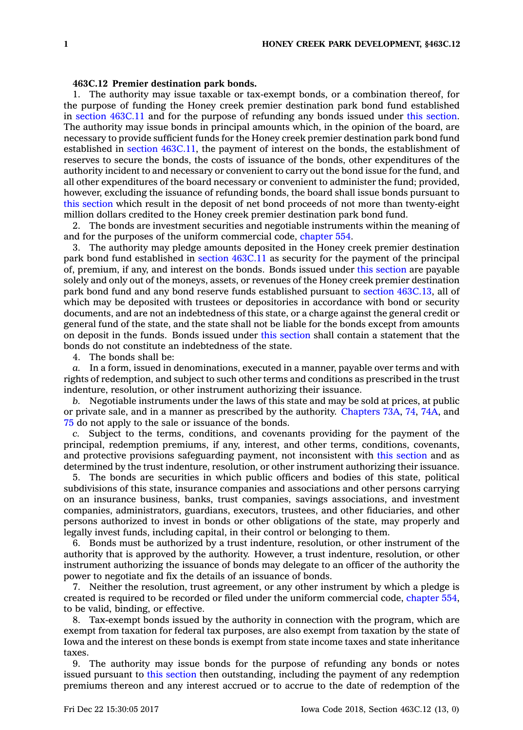## **463C.12 Premier destination park bonds.**

1. The authority may issue taxable or tax-exempt bonds, or <sup>a</sup> combination thereof, for the purpose of funding the Honey creek premier destination park bond fund established in section [463C.11](https://www.legis.iowa.gov/docs/code/463C.11.pdf) and for the purpose of refunding any bonds issued under this [section](https://www.legis.iowa.gov/docs/code/463C.12.pdf). The authority may issue bonds in principal amounts which, in the opinion of the board, are necessary to provide sufficient funds for the Honey creek premier destination park bond fund established in section [463C.11](https://www.legis.iowa.gov/docs/code/463C.11.pdf), the payment of interest on the bonds, the establishment of reserves to secure the bonds, the costs of issuance of the bonds, other expenditures of the authority incident to and necessary or convenient to carry out the bond issue for the fund, and all other expenditures of the board necessary or convenient to administer the fund; provided, however, excluding the issuance of refunding bonds, the board shall issue bonds pursuant to this [section](https://www.legis.iowa.gov/docs/code/463C.12.pdf) which result in the deposit of net bond proceeds of not more than twenty-eight million dollars credited to the Honey creek premier destination park bond fund.

2. The bonds are investment securities and negotiable instruments within the meaning of and for the purposes of the uniform commercial code, [chapter](https://www.legis.iowa.gov/docs/code//554.pdf) 554.

3. The authority may pledge amounts deposited in the Honey creek premier destination park bond fund established in section [463C.11](https://www.legis.iowa.gov/docs/code/463C.11.pdf) as security for the payment of the principal of, premium, if any, and interest on the bonds. Bonds issued under this [section](https://www.legis.iowa.gov/docs/code/463C.12.pdf) are payable solely and only out of the moneys, assets, or revenues of the Honey creek premier destination park bond fund and any bond reserve funds established pursuant to section [463C.13](https://www.legis.iowa.gov/docs/code/463C.13.pdf), all of which may be deposited with trustees or depositories in accordance with bond or security documents, and are not an indebtedness of this state, or <sup>a</sup> charge against the general credit or general fund of the state, and the state shall not be liable for the bonds except from amounts on deposit in the funds. Bonds issued under this [section](https://www.legis.iowa.gov/docs/code/463C.12.pdf) shall contain <sup>a</sup> statement that the bonds do not constitute an indebtedness of the state.

4. The bonds shall be:

*a.* In <sup>a</sup> form, issued in denominations, executed in <sup>a</sup> manner, payable over terms and with rights of redemption, and subject to such other terms and conditions as prescribed in the trust indenture, resolution, or other instrument authorizing their issuance.

*b.* Negotiable instruments under the laws of this state and may be sold at prices, at public or private sale, and in <sup>a</sup> manner as prescribed by the authority. [Chapters](https://www.legis.iowa.gov/docs/code//73A.pdf) 73A, [74](https://www.legis.iowa.gov/docs/code//74.pdf), [74A](https://www.legis.iowa.gov/docs/code//74A.pdf), and [75](https://www.legis.iowa.gov/docs/code//75.pdf) do not apply to the sale or issuance of the bonds.

*c.* Subject to the terms, conditions, and covenants providing for the payment of the principal, redemption premiums, if any, interest, and other terms, conditions, covenants, and protective provisions safeguarding payment, not inconsistent with this [section](https://www.legis.iowa.gov/docs/code/463C.12.pdf) and as determined by the trust indenture, resolution, or other instrument authorizing their issuance.

5. The bonds are securities in which public officers and bodies of this state, political subdivisions of this state, insurance companies and associations and other persons carrying on an insurance business, banks, trust companies, savings associations, and investment companies, administrators, guardians, executors, trustees, and other fiduciaries, and other persons authorized to invest in bonds or other obligations of the state, may properly and legally invest funds, including capital, in their control or belonging to them.

6. Bonds must be authorized by <sup>a</sup> trust indenture, resolution, or other instrument of the authority that is approved by the authority. However, <sup>a</sup> trust indenture, resolution, or other instrument authorizing the issuance of bonds may delegate to an officer of the authority the power to negotiate and fix the details of an issuance of bonds.

7. Neither the resolution, trust agreement, or any other instrument by which <sup>a</sup> pledge is created is required to be recorded or filed under the uniform commercial code, [chapter](https://www.legis.iowa.gov/docs/code//554.pdf) 554, to be valid, binding, or effective.

8. Tax-exempt bonds issued by the authority in connection with the program, which are exempt from taxation for federal tax purposes, are also exempt from taxation by the state of Iowa and the interest on these bonds is exempt from state income taxes and state inheritance taxes.

9. The authority may issue bonds for the purpose of refunding any bonds or notes issued pursuant to this [section](https://www.legis.iowa.gov/docs/code/463C.12.pdf) then outstanding, including the payment of any redemption premiums thereon and any interest accrued or to accrue to the date of redemption of the